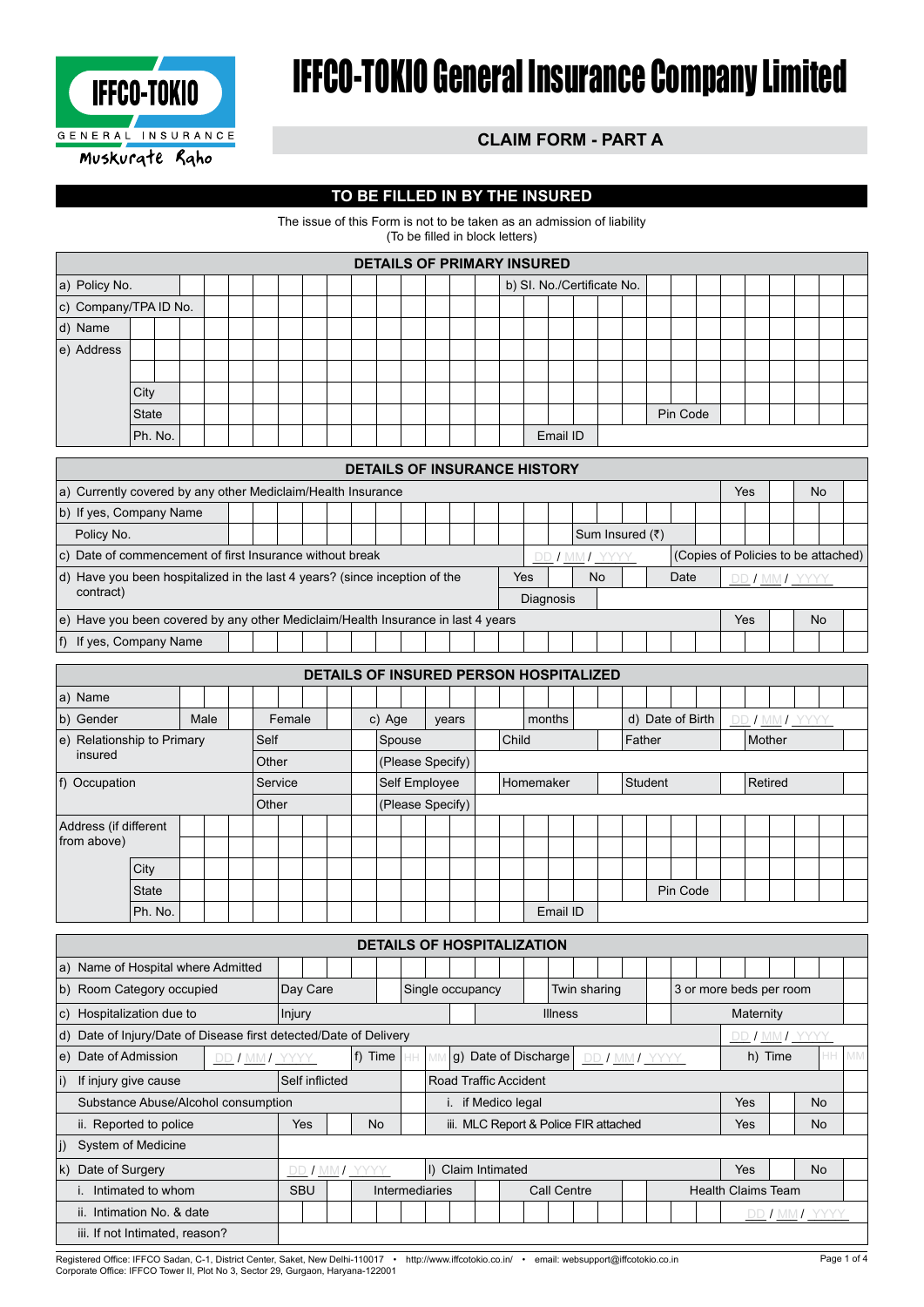

# IFFCO-TOKIO General Insurance Company Limited

## **CLAIM FORM - PART A**

### **TO BE FILLED IN BY THE INSURED**

The issue of this Form is not to be taken as an admission of liability (To be filled in block letters)

|                       |         |  |  |  |  |  |  |  |  |  |  |  |  |  |  | <b>DETAILS OF PRIMARY INSURED</b> |          |  |  |          |  |  |  |  |
|-----------------------|---------|--|--|--|--|--|--|--|--|--|--|--|--|--|--|-----------------------------------|----------|--|--|----------|--|--|--|--|
| a) Policy No.         |         |  |  |  |  |  |  |  |  |  |  |  |  |  |  | b) SI. No./Certificate No.        |          |  |  |          |  |  |  |  |
| c) Company/TPA ID No. |         |  |  |  |  |  |  |  |  |  |  |  |  |  |  |                                   |          |  |  |          |  |  |  |  |
| d) Name               |         |  |  |  |  |  |  |  |  |  |  |  |  |  |  |                                   |          |  |  |          |  |  |  |  |
| e) Address            |         |  |  |  |  |  |  |  |  |  |  |  |  |  |  |                                   |          |  |  |          |  |  |  |  |
|                       |         |  |  |  |  |  |  |  |  |  |  |  |  |  |  |                                   |          |  |  |          |  |  |  |  |
|                       | City    |  |  |  |  |  |  |  |  |  |  |  |  |  |  |                                   |          |  |  |          |  |  |  |  |
|                       | State   |  |  |  |  |  |  |  |  |  |  |  |  |  |  |                                   |          |  |  | Pin Code |  |  |  |  |
|                       | Ph. No. |  |  |  |  |  |  |  |  |  |  |  |  |  |  |                                   | Email ID |  |  |          |  |  |  |  |

|                                                                                         |  |  |  |  |  |  |  |  | <b>DETAILS OF INSURANCE HISTORY</b> |  |  |  |     |           |           |            |  |      |  |     |                                     |           |  |  |
|-----------------------------------------------------------------------------------------|--|--|--|--|--|--|--|--|-------------------------------------|--|--|--|-----|-----------|-----------|------------|--|------|--|-----|-------------------------------------|-----------|--|--|
| a) Currently covered by any other Mediclaim/Health Insurance                            |  |  |  |  |  |  |  |  |                                     |  |  |  |     |           |           |            |  |      |  | Yes |                                     | <b>No</b> |  |  |
| b) If yes, Company Name<br>Sum Insured (₹)                                              |  |  |  |  |  |  |  |  |                                     |  |  |  |     |           |           |            |  |      |  |     |                                     |           |  |  |
| Policy No.                                                                              |  |  |  |  |  |  |  |  |                                     |  |  |  |     |           |           |            |  |      |  |     |                                     |           |  |  |
| c) Date of commencement of first Insurance without break                                |  |  |  |  |  |  |  |  |                                     |  |  |  |     |           |           | I MMI YYYY |  |      |  |     | (Copies of Policies to be attached) |           |  |  |
| d) Have you been hospitalized in the last 4 years? (since inception of the              |  |  |  |  |  |  |  |  |                                     |  |  |  | Yes |           | <b>No</b> |            |  | Date |  |     | I MMI YYYY                          |           |  |  |
| contract)                                                                               |  |  |  |  |  |  |  |  |                                     |  |  |  |     | Diagnosis |           |            |  |      |  |     |                                     |           |  |  |
| $\ket{e}$ Have you been covered by any other Mediclaim/Health Insurance in last 4 years |  |  |  |  |  |  |  |  |                                     |  |  |  |     |           |           |            |  |      |  | Yes |                                     | <b>No</b> |  |  |
| f) If yes, Company Name                                                                 |  |  |  |  |  |  |  |  |                                     |  |  |  |     |           |           |            |  |      |  |     |                                     |           |  |  |

|                       |                                                       |  |      |  |       |        |  |  |  |        |  |  | DETAILS OF INSURED PERSON HOSPITALIZED |  |  |           |          |  |         |          |                  |        |         |                |  |
|-----------------------|-------------------------------------------------------|--|------|--|-------|--------|--|--|--|--------|--|--|----------------------------------------|--|--|-----------|----------|--|---------|----------|------------------|--------|---------|----------------|--|
| a) Name               |                                                       |  |      |  |       |        |  |  |  |        |  |  |                                        |  |  |           |          |  |         |          |                  |        |         |                |  |
| b) Gender             |                                                       |  | Male |  |       | Female |  |  |  | c) Age |  |  | years                                  |  |  | months    |          |  |         |          | d) Date of Birth |        |         | DD / MM / YYYY |  |
|                       | e) Relationship to Primary<br>Self<br>Spouse<br>Other |  |      |  |       |        |  |  |  |        |  |  |                                        |  |  |           |          |  | Father  |          |                  | Mother |         |                |  |
| insured               | Child<br>(Please Specify)                             |  |      |  |       |        |  |  |  |        |  |  |                                        |  |  |           |          |  |         |          |                  |        |         |                |  |
| f) Occupation         | Service<br>Self Employee                              |  |      |  |       |        |  |  |  |        |  |  |                                        |  |  | Homemaker |          |  | Student |          |                  |        | Retired |                |  |
|                       |                                                       |  |      |  | Other |        |  |  |  |        |  |  | (Please Specify)                       |  |  |           |          |  |         |          |                  |        |         |                |  |
| Address (if different |                                                       |  |      |  |       |        |  |  |  |        |  |  |                                        |  |  |           |          |  |         |          |                  |        |         |                |  |
| from above)           |                                                       |  |      |  |       |        |  |  |  |        |  |  |                                        |  |  |           |          |  |         |          |                  |        |         |                |  |
|                       | City                                                  |  |      |  |       |        |  |  |  |        |  |  |                                        |  |  |           |          |  |         |          |                  |        |         |                |  |
|                       | <b>State</b>                                          |  |      |  |       |        |  |  |  |        |  |  |                                        |  |  |           |          |  |         | Pin Code |                  |        |         |                |  |
|                       | Ph. No.                                               |  |      |  |       |        |  |  |  |        |  |  |                                        |  |  |           | Email ID |  |         |          |                  |        |         |                |  |

|                                                                                                                                                                                                  |                                     |  |            |          |                |           |  |  |                  |  |  | <b>DETAILS OF HOSPITALIZATION</b>     |  |                |              |  |                           |           |         |                |           |  |
|--------------------------------------------------------------------------------------------------------------------------------------------------------------------------------------------------|-------------------------------------|--|------------|----------|----------------|-----------|--|--|------------------|--|--|---------------------------------------|--|----------------|--------------|--|---------------------------|-----------|---------|----------------|-----------|--|
|                                                                                                                                                                                                  | a) Name of Hospital where Admitted  |  |            |          |                |           |  |  |                  |  |  |                                       |  |                |              |  |                           |           |         |                |           |  |
|                                                                                                                                                                                                  | b) Room Category occupied           |  |            | Day Care |                |           |  |  | Single occupancy |  |  |                                       |  |                | Twin sharing |  | 3 or more beds per room   |           |         |                |           |  |
|                                                                                                                                                                                                  | c) Hospitalization due to           |  | Injury     |          |                |           |  |  |                  |  |  |                                       |  | <b>Illness</b> |              |  |                           | Maternity |         |                |           |  |
| d) Date of Injury/Date of Disease first detected/Date of Delivery<br>DD / MM/ YYYY<br>e) Date of Admission<br>g) Date of Discharge<br> f) Time  <br>MN<br>DD / MM / YYYY<br>HH.<br>DD I MMI YYYY |                                     |  |            |          |                |           |  |  |                  |  |  |                                       |  |                |              |  |                           |           |         |                |           |  |
|                                                                                                                                                                                                  |                                     |  |            |          |                |           |  |  |                  |  |  |                                       |  |                |              |  |                           |           | h) Time |                |           |  |
| $\vert$ i)                                                                                                                                                                                       | If injury give cause                |  |            |          | Self inflicted |           |  |  |                  |  |  | <b>Road Traffic Accident</b>          |  |                |              |  |                           |           |         |                |           |  |
|                                                                                                                                                                                                  | Substance Abuse/Alcohol consumption |  |            |          |                |           |  |  |                  |  |  | if Medico legal                       |  |                |              |  |                           | Yes       |         |                | No.       |  |
|                                                                                                                                                                                                  | ii. Reported to police              |  |            | Yes      |                | <b>No</b> |  |  |                  |  |  | iii. MLC Report & Police FIR attached |  |                |              |  |                           | Yes       |         |                | No.       |  |
| lj)                                                                                                                                                                                              | System of Medicine                  |  |            |          |                |           |  |  |                  |  |  |                                       |  |                |              |  |                           |           |         |                |           |  |
|                                                                                                                                                                                                  | k) Date of Surgery                  |  |            |          | DD / MM / YYYY |           |  |  |                  |  |  | I) Claim Intimated                    |  |                |              |  |                           | Yes       |         |                | <b>No</b> |  |
|                                                                                                                                                                                                  | Intimated to whom                   |  | <b>SBU</b> |          |                |           |  |  | Intermediaries   |  |  |                                       |  | Call Centre    |              |  | <b>Health Claims Team</b> |           |         |                |           |  |
|                                                                                                                                                                                                  | ii. Intimation No. & date           |  |            |          |                |           |  |  |                  |  |  |                                       |  |                |              |  |                           |           |         | DD I MM I YYYY |           |  |
|                                                                                                                                                                                                  | iii. If not Intimated, reason?      |  |            |          |                |           |  |  |                  |  |  |                                       |  |                |              |  |                           |           |         |                |           |  |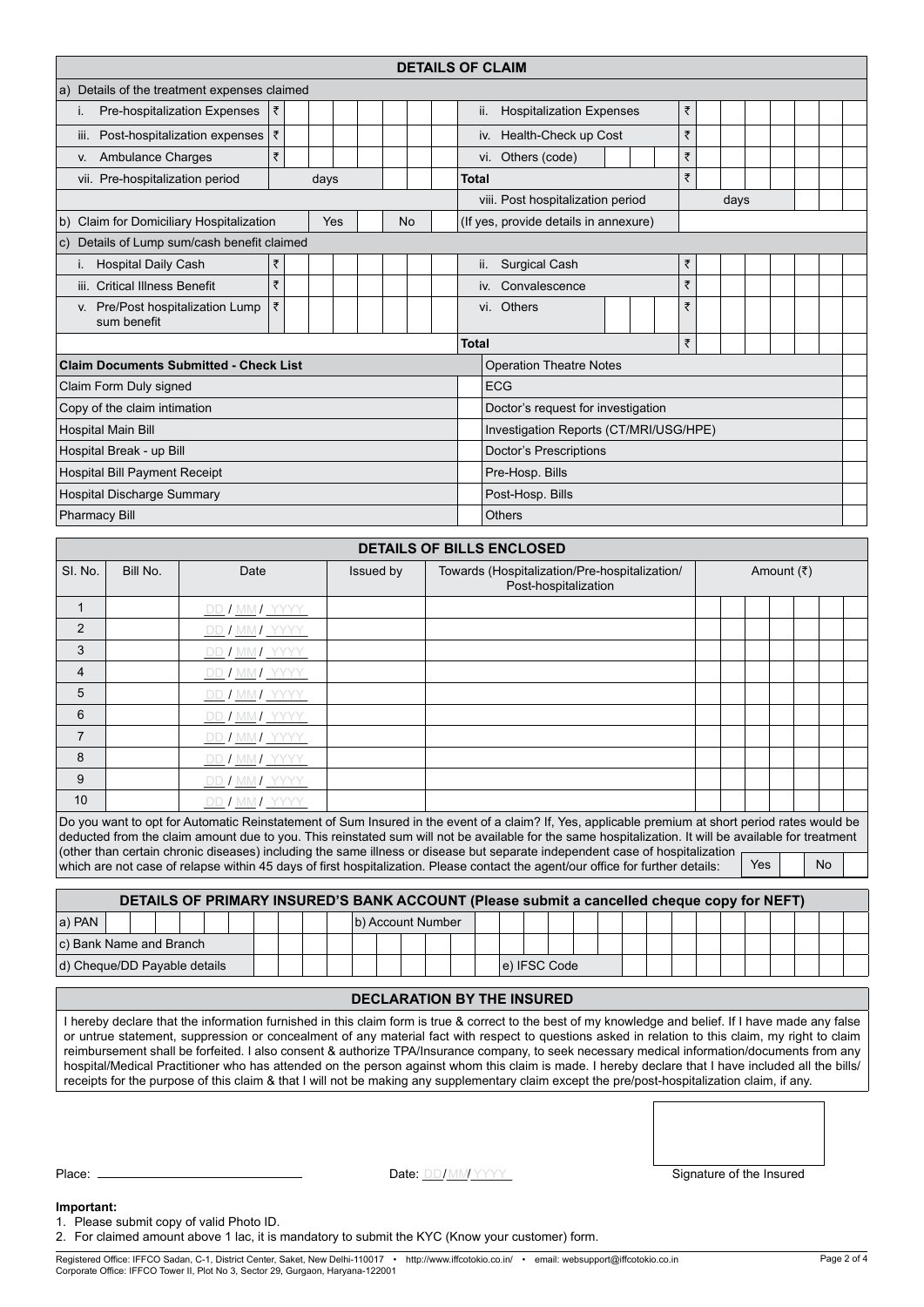|                    |                                                                                                                                                                                                                                             |                                                                                                                                                                                                                                                                                                                                                                                                                                                                                                                                                                                                                                                                                                                                                                   |   |  |            |  |           |                   |  | <b>DETAILS OF CLAIM</b>                       |                                 |  |  |  |  |   |      |     |            |           |  |
|--------------------|---------------------------------------------------------------------------------------------------------------------------------------------------------------------------------------------------------------------------------------------|-------------------------------------------------------------------------------------------------------------------------------------------------------------------------------------------------------------------------------------------------------------------------------------------------------------------------------------------------------------------------------------------------------------------------------------------------------------------------------------------------------------------------------------------------------------------------------------------------------------------------------------------------------------------------------------------------------------------------------------------------------------------|---|--|------------|--|-----------|-------------------|--|-----------------------------------------------|---------------------------------|--|--|--|--|---|------|-----|------------|-----------|--|
|                    |                                                                                                                                                                                                                                             | a) Details of the treatment expenses claimed                                                                                                                                                                                                                                                                                                                                                                                                                                                                                                                                                                                                                                                                                                                      |   |  |            |  |           |                   |  |                                               |                                 |  |  |  |  |   |      |     |            |           |  |
| İ.                 | Pre-hospitalization Expenses                                                                                                                                                                                                                |                                                                                                                                                                                                                                                                                                                                                                                                                                                                                                                                                                                                                                                                                                                                                                   | ₹ |  |            |  |           |                   |  | ii.                                           | <b>Hospitalization Expenses</b> |  |  |  |  | ₹ |      |     |            |           |  |
|                    |                                                                                                                                                                                                                                             |                                                                                                                                                                                                                                                                                                                                                                                                                                                                                                                                                                                                                                                                                                                                                                   | ₹ |  |            |  |           |                   |  |                                               |                                 |  |  |  |  | ₹ |      |     |            |           |  |
|                    |                                                                                                                                                                                                                                             | iii. Post-hospitalization expenses                                                                                                                                                                                                                                                                                                                                                                                                                                                                                                                                                                                                                                                                                                                                | ₹ |  |            |  |           |                   |  | iv.                                           | Health-Check up Cost            |  |  |  |  | ₹ |      |     |            |           |  |
| V.                 | Ambulance Charges                                                                                                                                                                                                                           |                                                                                                                                                                                                                                                                                                                                                                                                                                                                                                                                                                                                                                                                                                                                                                   |   |  |            |  |           |                   |  | vi. Others (code)                             |                                 |  |  |  |  | ₹ |      |     |            |           |  |
|                    | vii. Pre-hospitalization period                                                                                                                                                                                                             |                                                                                                                                                                                                                                                                                                                                                                                                                                                                                                                                                                                                                                                                                                                                                                   |   |  | days       |  |           |                   |  | Total<br>viii. Post hospitalization period    |                                 |  |  |  |  |   |      |     |            |           |  |
|                    |                                                                                                                                                                                                                                             | b) Claim for Domiciliary Hospitalization                                                                                                                                                                                                                                                                                                                                                                                                                                                                                                                                                                                                                                                                                                                          |   |  | <b>Yes</b> |  |           | No                |  | (If yes, provide details in annexure)         |                                 |  |  |  |  |   | days |     |            |           |  |
|                    |                                                                                                                                                                                                                                             | c) Details of Lump sum/cash benefit claimed                                                                                                                                                                                                                                                                                                                                                                                                                                                                                                                                                                                                                                                                                                                       |   |  |            |  |           |                   |  |                                               |                                 |  |  |  |  |   |      |     |            |           |  |
| İ.                 | <b>Hospital Daily Cash</b>                                                                                                                                                                                                                  |                                                                                                                                                                                                                                                                                                                                                                                                                                                                                                                                                                                                                                                                                                                                                                   | ₹ |  |            |  |           |                   |  | ii.                                           | <b>Surgical Cash</b>            |  |  |  |  | ₹ |      |     |            |           |  |
|                    | iii. Critical Illness Benefit                                                                                                                                                                                                               |                                                                                                                                                                                                                                                                                                                                                                                                                                                                                                                                                                                                                                                                                                                                                                   | ₹ |  |            |  |           |                   |  | iv.                                           | Convalescence                   |  |  |  |  | ₹ |      |     |            |           |  |
|                    | v. Pre/Post hospitalization Lump                                                                                                                                                                                                            |                                                                                                                                                                                                                                                                                                                                                                                                                                                                                                                                                                                                                                                                                                                                                                   | ₹ |  |            |  |           |                   |  | vi. Others                                    |                                 |  |  |  |  | ₹ |      |     |            |           |  |
|                    | sum benefit                                                                                                                                                                                                                                 |                                                                                                                                                                                                                                                                                                                                                                                                                                                                                                                                                                                                                                                                                                                                                                   |   |  |            |  |           |                   |  |                                               |                                 |  |  |  |  |   |      |     |            |           |  |
|                    |                                                                                                                                                                                                                                             |                                                                                                                                                                                                                                                                                                                                                                                                                                                                                                                                                                                                                                                                                                                                                                   |   |  |            |  |           |                   |  | <b>Total</b>                                  |                                 |  |  |  |  | ₹ |      |     |            |           |  |
|                    |                                                                                                                                                                                                                                             | <b>Claim Documents Submitted - Check List</b>                                                                                                                                                                                                                                                                                                                                                                                                                                                                                                                                                                                                                                                                                                                     |   |  |            |  |           |                   |  |                                               | <b>Operation Theatre Notes</b>  |  |  |  |  |   |      |     |            |           |  |
|                    | Claim Form Duly signed                                                                                                                                                                                                                      |                                                                                                                                                                                                                                                                                                                                                                                                                                                                                                                                                                                                                                                                                                                                                                   |   |  |            |  |           |                   |  | <b>ECG</b>                                    |                                 |  |  |  |  |   |      |     |            |           |  |
|                    | Copy of the claim intimation                                                                                                                                                                                                                |                                                                                                                                                                                                                                                                                                                                                                                                                                                                                                                                                                                                                                                                                                                                                                   |   |  |            |  |           |                   |  | Doctor's request for investigation            |                                 |  |  |  |  |   |      |     |            |           |  |
| Hospital Main Bill |                                                                                                                                                                                                                                             |                                                                                                                                                                                                                                                                                                                                                                                                                                                                                                                                                                                                                                                                                                                                                                   |   |  |            |  |           |                   |  |                                               |                                 |  |  |  |  |   |      |     |            |           |  |
|                    |                                                                                                                                                                                                                                             |                                                                                                                                                                                                                                                                                                                                                                                                                                                                                                                                                                                                                                                                                                                                                                   |   |  |            |  |           |                   |  |                                               |                                 |  |  |  |  |   |      |     |            |           |  |
|                    |                                                                                                                                                                                                                                             |                                                                                                                                                                                                                                                                                                                                                                                                                                                                                                                                                                                                                                                                                                                                                                   |   |  |            |  |           |                   |  |                                               |                                 |  |  |  |  |   |      |     |            |           |  |
|                    |                                                                                                                                                                                                                                             |                                                                                                                                                                                                                                                                                                                                                                                                                                                                                                                                                                                                                                                                                                                                                                   |   |  |            |  |           |                   |  |                                               |                                 |  |  |  |  |   |      |     |            |           |  |
|                    | Investigation Reports (CT/MRI/USG/HPE)<br>Doctor's Prescriptions<br>Hospital Break - up Bill<br>Hospital Bill Payment Receipt<br>Pre-Hosp. Bills<br>Hospital Discharge Summary<br>Post-Hosp. Bills<br><b>Pharmacy Bill</b><br><b>Others</b> |                                                                                                                                                                                                                                                                                                                                                                                                                                                                                                                                                                                                                                                                                                                                                                   |   |  |            |  |           |                   |  |                                               |                                 |  |  |  |  |   |      |     |            |           |  |
|                    |                                                                                                                                                                                                                                             |                                                                                                                                                                                                                                                                                                                                                                                                                                                                                                                                                                                                                                                                                                                                                                   |   |  |            |  |           |                   |  | DETAILS OF BILLS ENCLOSED                     |                                 |  |  |  |  |   |      |     |            |           |  |
| SI. No.            | Bill No.                                                                                                                                                                                                                                    | Date                                                                                                                                                                                                                                                                                                                                                                                                                                                                                                                                                                                                                                                                                                                                                              |   |  |            |  | Issued by |                   |  | Towards (Hospitalization/Pre-hospitalization/ | Post-hospitalization            |  |  |  |  |   |      |     | Amount (₹) |           |  |
| 1                  |                                                                                                                                                                                                                                             | <u>DD / MM / YYYY</u>                                                                                                                                                                                                                                                                                                                                                                                                                                                                                                                                                                                                                                                                                                                                             |   |  |            |  |           |                   |  |                                               |                                 |  |  |  |  |   |      |     |            |           |  |
| 2                  |                                                                                                                                                                                                                                             | DD / MM / YYYY                                                                                                                                                                                                                                                                                                                                                                                                                                                                                                                                                                                                                                                                                                                                                    |   |  |            |  |           |                   |  |                                               |                                 |  |  |  |  |   |      |     |            |           |  |
| 3                  |                                                                                                                                                                                                                                             | DD / MM/ YYYY                                                                                                                                                                                                                                                                                                                                                                                                                                                                                                                                                                                                                                                                                                                                                     |   |  |            |  |           |                   |  |                                               |                                 |  |  |  |  |   |      |     |            |           |  |
| 4                  |                                                                                                                                                                                                                                             | DD / MM/ YYYY                                                                                                                                                                                                                                                                                                                                                                                                                                                                                                                                                                                                                                                                                                                                                     |   |  |            |  |           |                   |  |                                               |                                 |  |  |  |  |   |      |     |            |           |  |
| 5                  |                                                                                                                                                                                                                                             | DD / MM / YYYY                                                                                                                                                                                                                                                                                                                                                                                                                                                                                                                                                                                                                                                                                                                                                    |   |  |            |  |           |                   |  |                                               |                                 |  |  |  |  |   |      |     |            |           |  |
| 6                  |                                                                                                                                                                                                                                             | DD / MM/ YYYY                                                                                                                                                                                                                                                                                                                                                                                                                                                                                                                                                                                                                                                                                                                                                     |   |  |            |  |           |                   |  |                                               |                                 |  |  |  |  |   |      |     |            |           |  |
| 7                  |                                                                                                                                                                                                                                             | DD / MM / YYYY                                                                                                                                                                                                                                                                                                                                                                                                                                                                                                                                                                                                                                                                                                                                                    |   |  |            |  |           |                   |  |                                               |                                 |  |  |  |  |   |      |     |            |           |  |
| 8                  |                                                                                                                                                                                                                                             | DD / MM / YYYY                                                                                                                                                                                                                                                                                                                                                                                                                                                                                                                                                                                                                                                                                                                                                    |   |  |            |  |           |                   |  |                                               |                                 |  |  |  |  |   |      |     |            |           |  |
| 9                  |                                                                                                                                                                                                                                             | DD / MM / YYYY                                                                                                                                                                                                                                                                                                                                                                                                                                                                                                                                                                                                                                                                                                                                                    |   |  |            |  |           |                   |  |                                               |                                 |  |  |  |  |   |      |     |            |           |  |
| 10                 |                                                                                                                                                                                                                                             | DD / MM/ YYYY                                                                                                                                                                                                                                                                                                                                                                                                                                                                                                                                                                                                                                                                                                                                                     |   |  |            |  |           |                   |  |                                               |                                 |  |  |  |  |   |      |     |            |           |  |
|                    |                                                                                                                                                                                                                                             | Do you want to opt for Automatic Reinstatement of Sum Insured in the event of a claim? If, Yes, applicable premium at short period rates would be                                                                                                                                                                                                                                                                                                                                                                                                                                                                                                                                                                                                                 |   |  |            |  |           |                   |  |                                               |                                 |  |  |  |  |   |      |     |            |           |  |
|                    |                                                                                                                                                                                                                                             | deducted from the claim amount due to you. This reinstated sum will not be available for the same hospitalization. It will be available for treatment<br>(other than certain chronic diseases) including the same illness or disease but separate independent case of hospitalization                                                                                                                                                                                                                                                                                                                                                                                                                                                                             |   |  |            |  |           |                   |  |                                               |                                 |  |  |  |  |   |      |     |            |           |  |
|                    |                                                                                                                                                                                                                                             | which are not case of relapse within 45 days of first hospitalization. Please contact the agent/our office for further details:                                                                                                                                                                                                                                                                                                                                                                                                                                                                                                                                                                                                                                   |   |  |            |  |           |                   |  |                                               |                                 |  |  |  |  |   |      | Yes |            | <b>No</b> |  |
|                    |                                                                                                                                                                                                                                             | DETAILS OF PRIMARY INSURED'S BANK ACCOUNT (Please submit a cancelled cheque copy for NEFT)                                                                                                                                                                                                                                                                                                                                                                                                                                                                                                                                                                                                                                                                        |   |  |            |  |           |                   |  |                                               |                                 |  |  |  |  |   |      |     |            |           |  |
| a) PAN             |                                                                                                                                                                                                                                             |                                                                                                                                                                                                                                                                                                                                                                                                                                                                                                                                                                                                                                                                                                                                                                   |   |  |            |  |           | b) Account Number |  |                                               |                                 |  |  |  |  |   |      |     |            |           |  |
|                    | c) Bank Name and Branch                                                                                                                                                                                                                     |                                                                                                                                                                                                                                                                                                                                                                                                                                                                                                                                                                                                                                                                                                                                                                   |   |  |            |  |           |                   |  |                                               |                                 |  |  |  |  |   |      |     |            |           |  |
|                    | d) Cheque/DD Payable details                                                                                                                                                                                                                |                                                                                                                                                                                                                                                                                                                                                                                                                                                                                                                                                                                                                                                                                                                                                                   |   |  |            |  |           |                   |  |                                               | e) IFSC Code                    |  |  |  |  |   |      |     |            |           |  |
|                    |                                                                                                                                                                                                                                             |                                                                                                                                                                                                                                                                                                                                                                                                                                                                                                                                                                                                                                                                                                                                                                   |   |  |            |  |           |                   |  |                                               |                                 |  |  |  |  |   |      |     |            |           |  |
|                    |                                                                                                                                                                                                                                             |                                                                                                                                                                                                                                                                                                                                                                                                                                                                                                                                                                                                                                                                                                                                                                   |   |  |            |  |           |                   |  | <b>DECLARATION BY THE INSURED</b>             |                                 |  |  |  |  |   |      |     |            |           |  |
|                    |                                                                                                                                                                                                                                             | I hereby declare that the information furnished in this claim form is true & correct to the best of my knowledge and belief. If I have made any false<br>or untrue statement, suppression or concealment of any material fact with respect to questions asked in relation to this claim, my right to claim<br>reimbursement shall be forfeited. I also consent & authorize TPA/Insurance company, to seek necessary medical information/documents from any<br>hospital/Medical Practitioner who has attended on the person against whom this claim is made. I hereby declare that I have included all the bills/<br>receipts for the purpose of this claim & that I will not be making any supplementary claim except the pre/post-hospitalization claim, if any. |   |  |            |  |           |                   |  |                                               |                                 |  |  |  |  |   |      |     |            |           |  |

Place: Date: \_\_\_/\_\_\_/\_\_\_\_\_\_ DD MM YYYY Signature of the Insured

#### **Important:**

1. Please submit copy of valid Photo ID.

2. For claimed amount above 1 lac, it is mandatory to submit the KYC (Know your customer) form.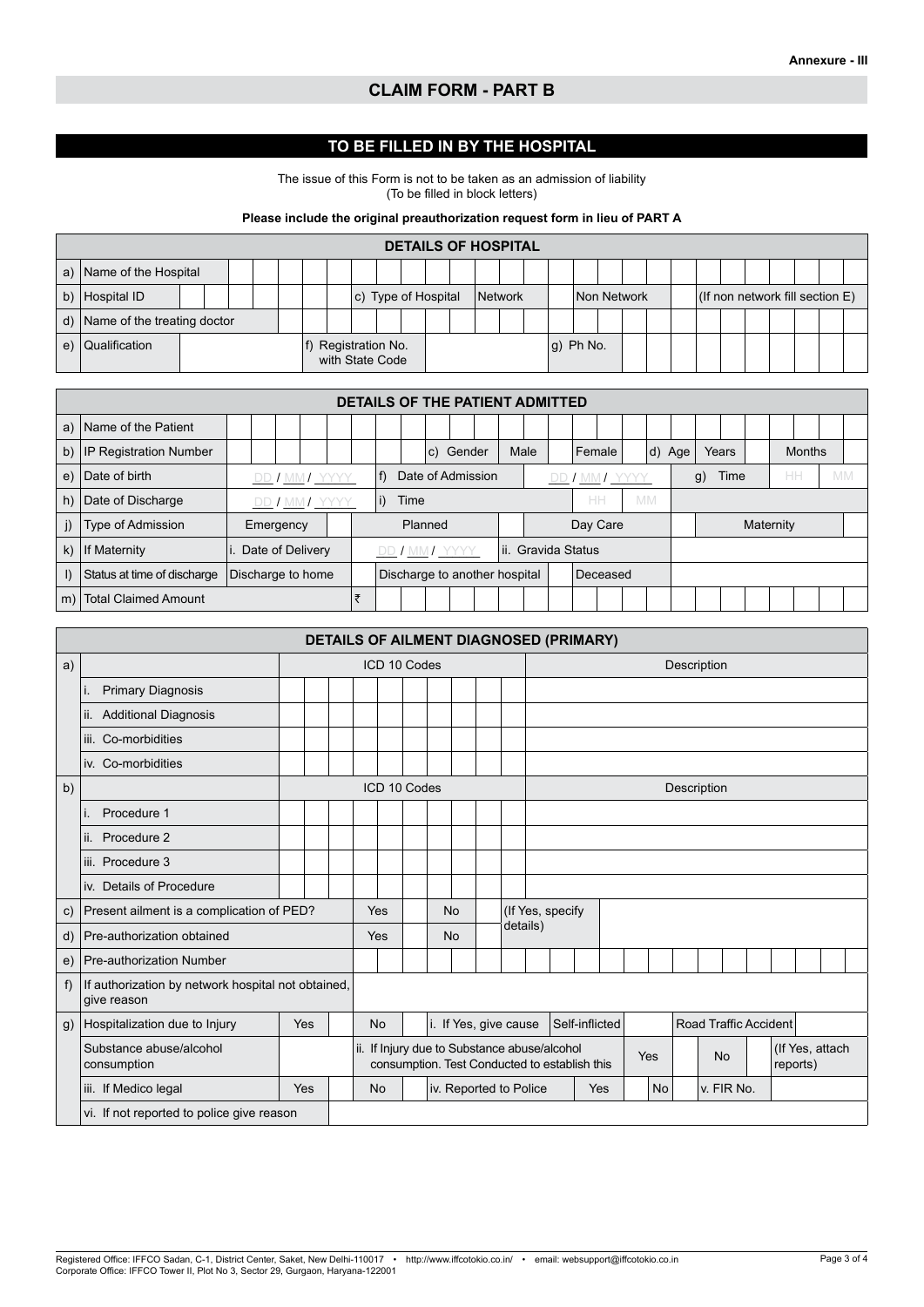## **CLAIM FORM - PART B**

## **TO BE FILLED IN BY THE HOSPITAL**

The issue of this Form is not to be taken as an admission of liability (To be filled in block letters)

#### **Please include the original preauthorization request form in lieu of PART A**

|                                                                                                                 |  |  |  |  |  |  |  |  |                                        |  |  |  |  | <b>DETAILS OF HOSPITAL</b> |                    |  |  |  |  |  |  |  |
|-----------------------------------------------------------------------------------------------------------------|--|--|--|--|--|--|--|--|----------------------------------------|--|--|--|--|----------------------------|--------------------|--|--|--|--|--|--|--|
| a) Name of the Hospital                                                                                         |  |  |  |  |  |  |  |  |                                        |  |  |  |  |                            |                    |  |  |  |  |  |  |  |
| (If non network fill section $E$ )<br>b) Hospital ID<br>$ c $ Type of Hospital<br><b>Network</b><br>Non Network |  |  |  |  |  |  |  |  |                                        |  |  |  |  |                            |                    |  |  |  |  |  |  |  |
| d) Name of the treating doctor                                                                                  |  |  |  |  |  |  |  |  |                                        |  |  |  |  |                            |                    |  |  |  |  |  |  |  |
| e)   Qualification                                                                                              |  |  |  |  |  |  |  |  | f) Registration No.<br>with State Code |  |  |  |  |                            | $ q\rangle$ Ph No. |  |  |  |  |  |  |  |

|              |                                                                                                              |  |           |  |                   |  |   |  |                |         |  | DETAILS OF THE PATIENT ADMITTED |  |  |  |                     |      |           |  |           |           |  |  |
|--------------|--------------------------------------------------------------------------------------------------------------|--|-----------|--|-------------------|--|---|--|----------------|---------|--|---------------------------------|--|--|--|---------------------|------|-----------|--|-----------|-----------|--|--|
| a)           | Name of the Patient                                                                                          |  |           |  |                   |  |   |  |                |         |  |                                 |  |  |  |                     |      |           |  |           |           |  |  |
| b)           | IP Registration Number<br>Male<br>c) Gender<br>Female<br>$\mathsf{d}$<br><b>Months</b><br>Years<br>Age<br>HH |  |           |  |                   |  |   |  |                |         |  |                                 |  |  |  |                     |      |           |  |           |           |  |  |
| e)           | Date of Admission<br>Date of birth<br>DD / MM / YYYY<br>DD / MM / YYYY                                       |  |           |  |                   |  |   |  |                |         |  |                                 |  |  |  | g)                  | Time |           |  | <b>MM</b> |           |  |  |
| h)           | Date of Discharge                                                                                            |  |           |  | DD / MM / YYYY    |  |   |  | Time           |         |  |                                 |  |  |  | HH                  |      | <b>MM</b> |  |           |           |  |  |
|              | Type of Admission                                                                                            |  | Emergency |  |                   |  |   |  |                | Planned |  |                                 |  |  |  | Day Care            |      |           |  |           | Maternity |  |  |
| $\mathsf{k}$ | If Maternity                                                                                                 |  |           |  | Date of Delivery  |  |   |  | DD / MM / YYYY |         |  |                                 |  |  |  | lii. Gravida Status |      |           |  |           |           |  |  |
|              | Status at time of discharge                                                                                  |  |           |  | Discharge to home |  |   |  |                |         |  | Discharge to another hospital   |  |  |  | Deceased            |      |           |  |           |           |  |  |
| $\mid$ m)    | <b>Total Claimed Amount</b>                                                                                  |  |           |  |                   |  | ₹ |  |                |         |  |                                 |  |  |  |                     |      |           |  |           |           |  |  |

|              |                                                                   |     |  |  |           |           |              |  |           |  |                       | DETAILS OF AILMENT DIAGNOSED (PRIMARY)                                                        |  |                |  |           |             |                              |  |                             |  |  |
|--------------|-------------------------------------------------------------------|-----|--|--|-----------|-----------|--------------|--|-----------|--|-----------------------|-----------------------------------------------------------------------------------------------|--|----------------|--|-----------|-------------|------------------------------|--|-----------------------------|--|--|
| a)           |                                                                   |     |  |  |           |           | ICD 10 Codes |  |           |  |                       |                                                                                               |  |                |  |           | Description |                              |  |                             |  |  |
|              | <b>Primary Diagnosis</b>                                          |     |  |  |           |           |              |  |           |  |                       |                                                                                               |  |                |  |           |             |                              |  |                             |  |  |
|              | <b>Additional Diagnosis</b><br>lii.                               |     |  |  |           |           |              |  |           |  |                       |                                                                                               |  |                |  |           |             |                              |  |                             |  |  |
|              | iii. Co-morbidities                                               |     |  |  |           |           |              |  |           |  |                       |                                                                                               |  |                |  |           |             |                              |  |                             |  |  |
|              | iv. Co-morbidities                                                |     |  |  |           |           |              |  |           |  |                       |                                                                                               |  |                |  |           |             |                              |  |                             |  |  |
| b)           |                                                                   |     |  |  |           |           | ICD 10 Codes |  |           |  |                       |                                                                                               |  |                |  |           | Description |                              |  |                             |  |  |
|              | Procedure 1<br>$\mathsf{L}$<br>Procedure 2<br>Ш.                  |     |  |  |           |           |              |  |           |  |                       |                                                                                               |  |                |  |           |             |                              |  |                             |  |  |
|              |                                                                   |     |  |  |           |           |              |  |           |  |                       |                                                                                               |  |                |  |           |             |                              |  |                             |  |  |
|              | iii. Procedure 3                                                  |     |  |  |           |           |              |  |           |  |                       |                                                                                               |  |                |  |           |             |                              |  |                             |  |  |
|              | iv. Details of Procedure                                          |     |  |  |           |           |              |  |           |  |                       |                                                                                               |  |                |  |           |             |                              |  |                             |  |  |
| $\mathbf{C}$ | Present ailment is a complication of PED?                         |     |  |  |           | Yes       |              |  | <b>No</b> |  |                       | (If Yes, specify)                                                                             |  |                |  |           |             |                              |  |                             |  |  |
| d)           | Pre-authorization obtained                                        |     |  |  |           | Yes       |              |  | <b>No</b> |  |                       | details)                                                                                      |  |                |  |           |             |                              |  |                             |  |  |
| e)           | <b>Pre-authorization Number</b>                                   |     |  |  |           |           |              |  |           |  |                       |                                                                                               |  |                |  |           |             |                              |  |                             |  |  |
| f            | If authorization by network hospital not obtained,<br>give reason |     |  |  |           |           |              |  |           |  |                       |                                                                                               |  |                |  |           |             |                              |  |                             |  |  |
| $\mathsf{q}$ | Hospitalization due to Injury                                     | Yes |  |  | <b>No</b> |           |              |  |           |  | i. If Yes, give cause |                                                                                               |  | Self-inflicted |  |           |             | <b>Road Traffic Accident</b> |  |                             |  |  |
|              | Substance abuse/alcohol<br>consumption                            |     |  |  |           |           |              |  |           |  |                       | ii. If Injury due to Substance abuse/alcohol<br>consumption. Test Conducted to establish this |  |                |  | Yes       |             | <b>No</b>                    |  | (If Yes, attach<br>reports) |  |  |
|              | iii. If Medico legal                                              | Yes |  |  |           | <b>No</b> |              |  |           |  |                       | iv. Reported to Police                                                                        |  | Yes            |  | <b>No</b> |             | v. FIR No.                   |  |                             |  |  |
|              | vi. If not reported to police give reason                         |     |  |  |           |           |              |  |           |  |                       |                                                                                               |  |                |  |           |             |                              |  |                             |  |  |